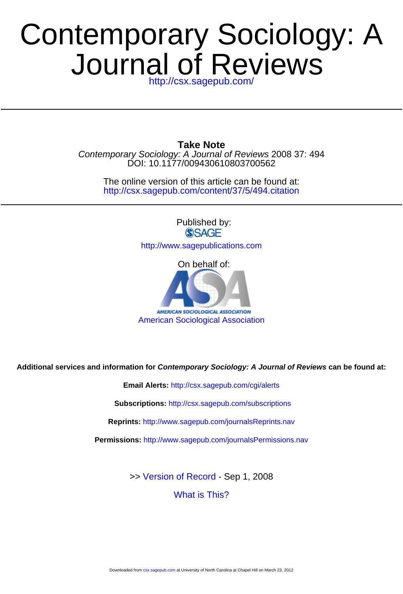## <http://csx.sagepub.com/> Journal of Reviews Contemporary Sociology: A

DOI: 10.1177/009430610803700562 Contemporary Sociology: A Journal of Reviews 2008 37: 494 **Take Note**

<http://csx.sagepub.com/content/37/5/494.citation> The online version of this article can be found at:

> Published by: **SSAGE**

<http://www.sagepublications.com>



**Additional services and information for Contemporary Sociology: A Journal of Reviews can be found at:**

**Email Alerts:** <http://csx.sagepub.com/cgi/alerts>

**Subscriptions:** <http://csx.sagepub.com/subscriptions>

**Reprints:** <http://www.sagepub.com/journalsReprints.nav>

**Permissions:** <http://www.sagepub.com/journalsPermissions.nav>

>> [Version of Record -](http://csx.sagepub.com/content/37/5/494.full.pdf) Sep 1, 2008

[What is This?](http://online.sagepub.com/site/sphelp/vorhelp.xhtml)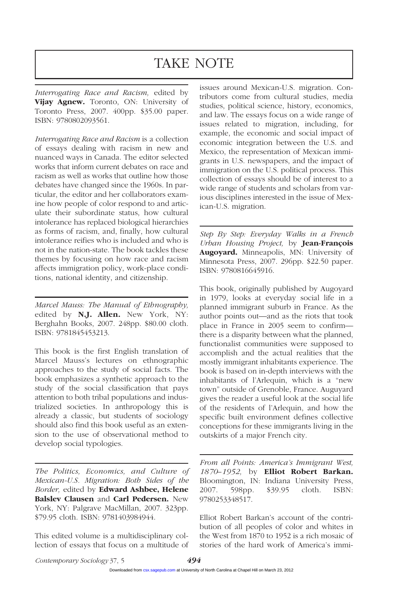## TAKE NOTE

*Interrogating Race and Racism,* edited by **Vijay Agnew.** Toronto, ON: University of Toronto Press, 2007. 400pp. \$35.00 paper. ISBN: 9780802093561.

*Interrogating Race and Racism* is a collection of essays dealing with racism in new and nuanced ways in Canada. The editor selected works that inform current debates on race and racism as well as works that outline how those debates have changed since the 1960s. In particular, the editor and her collaborators examine how people of color respond to and articulate their subordinate status, how cultural intolerance has replaced biological hierarchies as forms of racism, and, finally, how cultural intolerance reifies who is included and who is not in the nation-state. The book tackles these themes by focusing on how race and racism affects immigration policy, work-place conditions, national identity, and citizenship.

*Marcel Mauss: The Manual of Ethnography,* edited by **N.J. Allen.** New York, NY: Berghahn Books, 2007. 248pp. \$80.00 cloth. ISBN: 9781845453213.

This book is the first English translation of Marcel Mauss's lectures on ethnographic approaches to the study of social facts. The book emphasizes a synthetic approach to the study of the social classification that pays attention to both tribal populations and industrialized societies. In anthropology this is already a classic, but students of sociology should also find this book useful as an extension to the use of observational method to develop social typologies.

*The Politics, Economics, and Culture of Mexican-U.S. Migration: Both Sides of the Border,* edited by **Edward Ashbee, Helene Balslev Clausen** and **Carl Pedersen.** New York, NY: Palgrave MacMillan, 2007. 323pp. \$79.95 cloth. ISBN: 9781403984944.

This edited volume is a multidisciplinary collection of essays that focus on a multitude of issues around Mexican-U.S. migration. Contributors come from cultural studies, media studies, political science, history, economics, and law. The essays focus on a wide range of issues related to migration, including, for example, the economic and social impact of economic integration between the U.S. and Mexico, the representation of Mexican immigrants in U.S. newspapers, and the impact of immigration on the U.S. political process. This collection of essays should be of interest to a wide range of students and scholars from various disciplines interested in the issue of Mexican-U.S. migration.

*Step By Step: Everyday Walks in a French Urban Housing Project,* by **Jean-François Augoyard.** Minneapolis, MN: University of Minnesota Press, 2007. 296pp. \$22.50 paper. ISBN: 9780816645916.

This book, originally published by Augoyard in 1979, looks at everyday social life in a planned immigrant suburb in France. As the author points out—and as the riots that took place in France in 2005 seem to confirm there is a disparity between what the planned, functionalist communities were supposed to accomplish and the actual realities that the mostly immigrant inhabitants experience. The book is based on in-depth interviews with the inhabitants of l'Arlequin, which is a "new town" outside of Grenoble, France. Auguyard gives the reader a useful look at the social life of the residents of l'Arlequin, and how the specific built environment defines collective conceptions for these immigrants living in the outskirts of a major French city.

*From all Points: America's Immigrant West, 1870–1952,* by **Elliot Robert Barkan.** Bloomington, IN: Indiana University Press, 2007. 598pp. \$39.95 cloth. ISBN: 9780253348517.

Elliot Robert Barkan's account of the contribution of all peoples of color and whites in the West from 1870 to 1952 is a rich mosaic of stories of the hard work of America's immi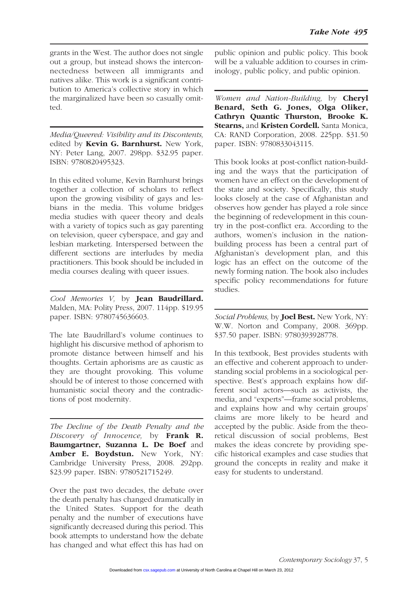grants in the West. The author does not single out a group, but instead shows the interconnectedness between all immigrants and natives alike. This work is a significant contribution to America's collective story in which the marginalized have been so casually omitted.

*Media/Queered: Visibility and its Discontents,* edited by **Kevin G. Barnhurst.** New York, NY: Peter Lang, 2007. 298pp. \$32.95 paper. ISBN: 9780820495323.

In this edited volume, Kevin Barnhurst brings together a collection of scholars to reflect upon the growing visibility of gays and lesbians in the media. This volume bridges media studies with queer theory and deals with a variety of topics such as gay parenting on television, queer cyberspace, and gay and lesbian marketing. Interspersed between the different sections are interludes by media practitioners. This book should be included in media courses dealing with queer issues.

*Cool Memories V,* by **Jean Baudrillard.** Malden, MA: Polity Press, 2007. 114pp. \$19.95 paper. ISBN: 9780745636603.

The late Baudrillard's volume continues to highlight his discursive method of aphorism to promote distance between himself and his thoughts. Certain aphorisms are as caustic as they are thought provoking. This volume should be of interest to those concerned with humanistic social theory and the contradictions of post modernity.

*The Decline of the Death Penalty and the Discovery of Innocence,* by **Frank R. Baumgartner, Suzanna L. De Boef** and **Amber E. Boydstun.** New York, NY: Cambridge University Press, 2008. 292pp. \$23.99 paper. ISBN: 9780521715249.

Over the past two decades, the debate over the death penalty has changed dramatically in the United States. Support for the death penalty and the number of executions have significantly decreased during this period. This book attempts to understand how the debate has changed and what effect this has had on

public opinion and public policy. This book will be a valuable addition to courses in criminology, public policy, and public opinion.

*Women and Nation-Building,* by **Cheryl Benard, Seth G. Jones, Olga Oliker, Cathryn Quantic Thurston, Brooke K. Stearns,** and **Kristen Cordell.** Santa Monica, CA: RAND Corporation, 2008. 225pp. \$31.50 paper. ISBN: 9780833043115.

This book looks at post-conflict nation-building and the ways that the participation of women have an effect on the development of the state and society. Specifically, this study looks closely at the case of Afghanistan and observes how gender has played a role since the beginning of redevelopment in this country in the post-conflict era. According to the authors, women's inclusion in the nationbuilding process has been a central part of Afghanistan's development plan, and this logic has an effect on the outcome of the newly forming nation. The book also includes specific policy recommendations for future studies.

*Social Problems,* by **Joel Best.** New York, NY: W.W. Norton and Company, 2008. 369pp. \$37.50 paper. ISBN: 9780393928778.

In this textbook, Best provides students with an effective and coherent approach to understanding social problems in a sociological perspective. Best's approach explains how different social actors—such as activists, the media, and "experts"—frame social problems, and explains how and why certain groups' claims are more likely to be heard and accepted by the public. Aside from the theoretical discussion of social problems, Best makes the ideas concrete by providing specific historical examples and case studies that ground the concepts in reality and make it easy for students to understand.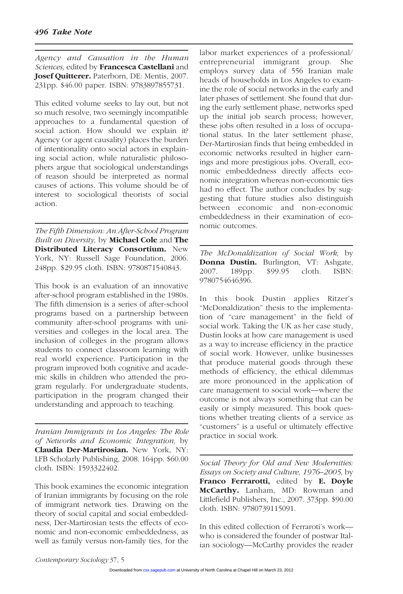*Agency and Causation in the Human Sciences,* edited by **Francesca Castellani** and **Josef Quitterer.** Paterborn, DE: Mentis, 2007. 231pp. \$46.00 paper. ISBN: 9783897855731.

This edited volume seeks to lay out, but not so much resolve, two seemingly incompatible approaches to a fundamental question of social action. How should we explain it? Agency (or agent causality) places the burden of intentionality onto social actors in explaining social action, while naturalistic philosophers argue that sociological understandings of reason should be interpreted as normal causes of actions. This volume should be of interest to sociological theorists of social action.

*The Fifth Dimension: An After-School Program Built on Diversity,* by **Michael Cole** and **The Distributed Literacy Consortium.** New York, NY: Russell Sage Foundation, 2006. 248pp. \$29.95 cloth. ISBN: 9780871540843.

This book is an evaluation of an innovative after-school program established in the 1980s. The fifth dimension is a series of after-school programs based on a partnership between community after-school programs with universities and colleges in the local area. The inclusion of colleges in the program allows students to connect classroom learning with real world experience. Participation in the program improved both cognitive and academic skills in children who attended the program regularly. For undergraduate students, participation in the program changed their understanding and approach to teaching.

*Iranian Immigrants in Los Angeles: The Role of Networks and Economic Integration,* by **Claudia Der-Martirosian.** New York, NY: LFB Scholarly Publishing, 2008. 164pp. \$60.00 cloth. ISBN: 1593322402.

This book examines the economic integration of Iranian immigrants by focusing on the role of immigrant network ties. Drawing on the theory of social capital and social embeddedness, Der-Martirosian tests the effects of economic and non-economic embeddedness, as well as family versus non-family ties, for the labor market experiences of a professional/ entrepreneurial immigrant group. She employs survey data of 556 Iranian male heads of households in Los Angeles to examine the role of social networks in the early and later phases of settlement. She found that during the early settlement phase, networks sped up the initial job search process; however, these jobs often resulted in a loss of occupational status. In the later settlement phase, Der-Martirosian finds that being embedded in economic networks resulted in higher earnings and more prestigious jobs. Overall, economic embeddedness directly affects economic integration whereas non-economic ties had no effect. The author concludes by suggesting that future studies also distinguish between economic and non-economic embeddedness in their examination of economic outcomes.

*The McDonaldization of Social Work,* by **Donna Dustin.** Burlington, VT: Ashgate, 2007. 189pp. \$99.95 cloth. ISBN: 9780754646396.

In this book Dustin applies Ritzer's "McDonaldization" thesis to the implementation of "care management" in the field of social work. Taking the UK as her case study, Dustin looks at how care management is used as a way to increase efficiency in the practice of social work. However, unlike businesses that produce material goods through these methods of efficiency, the ethical dilemmas are more pronounced in the application of care management to social work—where the outcome is not always something that can be easily or simply measured. This book questions whether treating clients of a service as "customers" is a useful or ultimately effective practice in social work.

*Social Theory for Old and New Modernities: Essays on Society and Culture, 1976–2005,* by **Franco Ferrarotti,** edited by **E. Doyle McCarthy.** Lanham, MD: Rowman and Littlefield Publishers, Inc., 2007. 373pp. \$90.00 cloth. ISBN: 9780739115091.

In this edited collection of Ferraroti's work who is considered the founder of postwar Italian sociology—McCarthy provides the reader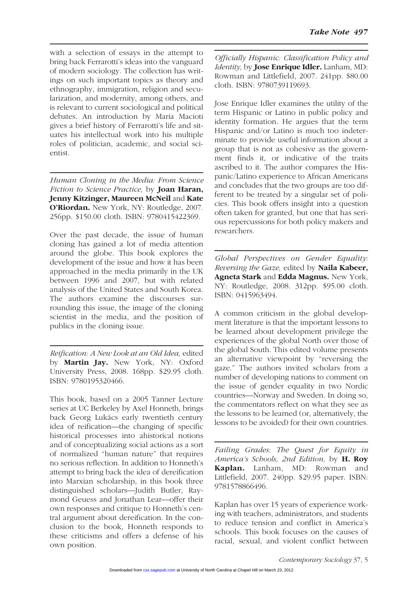with a selection of essays in the attempt to bring back Ferrarotti's ideas into the vanguard of modern sociology. The collection has writings on such important topics as theory and ethnography, immigration, religion and secularization, and modernity, among others, and is relevant to current sociological and political debates. An introduction by Maria Macioti gives a brief history of Ferrarotti's life and situates his intellectual work into his multiple roles of politician, academic, and social scientist.

*Human Cloning in the Media: From Science Fiction to Science Practice,* by **Joan Haran, Jenny Kitzinger, Maureen McNeil** and **Kate O'Riordan.** New York, NY: Routledge, 2007. 256pp. \$150.00 cloth. ISBN: 9780415422369.

Over the past decade, the issue of human cloning has gained a lot of media attention around the globe. This book explores the development of the issue and how it has been approached in the media primarily in the UK between 1996 and 2007, but with related analysis of the United States and South Korea. The authors examine the discourses surrounding this issue, the image of the cloning scientist in the media, and the position of publics in the cloning issue.

*Reification: A New Look at an Old Idea,* edited by **Martin Jay.** New York, NY: Oxford University Press, 2008. 168pp. \$29.95 cloth. ISBN: 9780195320466.

This book, based on a 2005 Tanner Lecture series at UC Berkeley by Axel Honneth, brings back Georg Lukács early twentieth century idea of reification—the changing of specific historical processes into ahistorical notions and of conceptualizing social actions as a sort of normalized "human nature" that requires no serious reflection. In addition to Honneth's attempt to bring back the idea of dereification into Marxian scholarship, in this book three distinguished scholars—Judith Butler, Raymond Geuess and Jonathan Lear—offer their own responses and critique to Honneth's central argument about dereification. In the conclusion to the book, Honneth responds to these criticisms and offers a defense of his own position.

*Officially Hispanic: Classification Policy and Identity,* by **Jose Enrique Idler.** Lanham, MD: Rowman and Littlefield, 2007. 241pp. \$80.00 cloth. ISBN: 9780739119693.

Jose Enrique Idler examines the utility of the term Hispanic or Latino in public policy and identity formation. He argues that the term Hispanic and/or Latino is much too indeterminate to provide useful information about a group that is not as cohesive as the government finds it, or indicative of the traits ascribed to it. The author compares the Hispanic/Latino experience to African Americans and concludes that the two groups are too different to be treated by a singular set of policies. This book offers insight into a question often taken for granted, but one that has serious repercussions for both policy makers and researchers.

*Global Perspectives on Gender Equality: Reversing the Gaze,* edited by **Naila Kabeer, Agneta Stark** and **Edda Magnus.** New York, NY: Routledge, 2008. 312pp. \$95.00 cloth. ISBN: 0415963494.

A common criticism in the global development literature is that the important lessons to be learned about development privilege the experiences of the global North over those of the global South. This edited volume presents an alternative viewpoint by "reversing the gaze." The authors invited scholars from a number of developing nations to comment on the issue of gender equality in two Nordic countries—Norway and Sweden. In doing so, the commentators reflect on what they see as the lessons to be learned (or, alternatively, the lessons to be avoided) for their own countries.

*Failing Grades: The Quest for Equity in America's Schools, 2nd Edition,* by **H. Roy Kaplan.** Lanham, MD: Rowman and Littlefield, 2007. 240pp. \$29.95 paper. ISBN: 9781578866496.

Kaplan has over 15 years of experience working with teachers, administrators, and students to reduce tension and conflict in America's schools. This book focuses on the causes of racial, sexual, and violent conflict between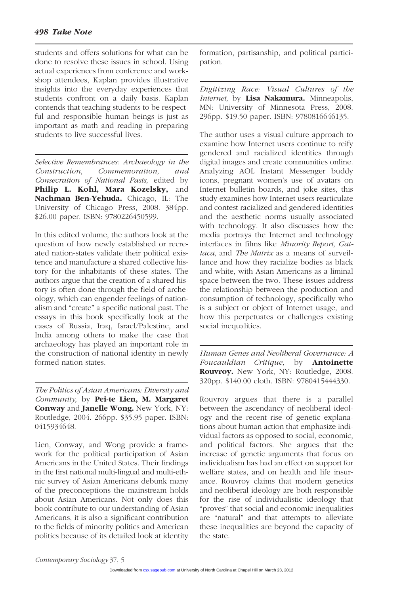students and offers solutions for what can be done to resolve these issues in school. Using actual experiences from conference and workshop attendees, Kaplan provides illustrative insights into the everyday experiences that students confront on a daily basis. Kaplan contends that teaching students to be respectful and responsible human beings is just as important as math and reading in preparing students to live successful lives.

*Selective Remembrances: Archaeology in the Construction, Commemoration, and Consecration of National Pasts,* edited by **Philip L. Kohl, Mara Kozelsky,** and **Nachman Ben-Yehuda.** Chicago, IL: The University of Chicago Press, 2008. 384pp. \$26.00 paper. ISBN: 9780226450599.

In this edited volume, the authors look at the question of how newly established or recreated nation-states validate their political existence and manufacture a shared collective history for the inhabitants of these states. The authors argue that the creation of a shared history is often done through the field of archeology, which can engender feelings of nationalism and "create" a specific national past. The essays in this book specifically look at the cases of Russia, Iraq, Israel/Palestine, and India among others to make the case that archaeology has played an important role in the construction of national identity in newly formed nation-states.

*The Politics of Asian Americans: Diversity and Community,* by **Pei-te Lien, M. Margaret Conway** and **Janelle Wong.** New York, NY: Routledge, 2004. 266pp. \$35.95 paper. ISBN: 0415934648.

Lien, Conway, and Wong provide a framework for the political participation of Asian Americans in the United States. Their findings in the first national multi-lingual and multi-ethnic survey of Asian Americans debunk many of the preconceptions the mainstream holds about Asian Americans. Not only does this book contribute to our understanding of Asian Americans, it is also a significant contribution to the fields of minority politics and American politics because of its detailed look at identity formation, partisanship, and political participation.

*Digitizing Race: Visual Cultures of the Internet,* by **Lisa Nakamura.** Minneapolis, MN: University of Minnesota Press, 2008. 296pp. \$19.50 paper. ISBN: 9780816646135.

The author uses a visual culture approach to examine how Internet users continue to reify gendered and racialized identities through digital images and create communities online. Analyzing AOL Instant Messenger buddy icons, pregnant women's use of avatars on Internet bulletin boards, and joke sites, this study examines how Internet users rearticulate and contest racialized and gendered identities and the aesthetic norms usually associated with technology. It also discusses how the media portrays the Internet and technology interfaces in films like *Minority Report, Gattaca,* and *The Matrix* as a means of surveillance and how they racialize bodies as black and white, with Asian Americans as a liminal space between the two. These issues address the relationship between the production and consumption of technology, specifically who is a subject or object of Internet usage, and how this perpetuates or challenges existing social inequalities.

*Human Genes and Neoliberal Governance: A Foucauldian Critique,* by **Antoinette Rouvroy.** New York, NY: Routledge, 2008. 320pp. \$140.00 cloth. ISBN: 9780415444330.

Rouvroy argues that there is a parallel between the ascendancy of neoliberal ideology and the recent rise of genetic explanations about human action that emphasize individual factors as opposed to social, economic, and political factors. She argues that the increase of genetic arguments that focus on individualism has had an effect on support for welfare states, and on health and life insurance. Rouvroy claims that modern genetics and neoliberal ideology are both responsible for the rise of individualistic ideology that "proves" that social and economic inequalities are "natural" and that attempts to alleviate these inequalities are beyond the capacity of the state.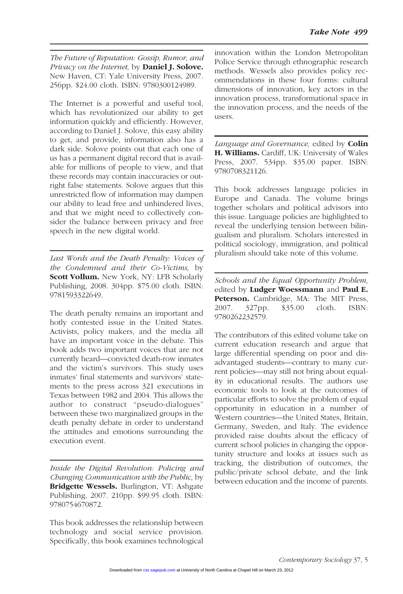*The Future of Reputation: Gossip, Rumor, and Privacy on the Internet,* by **Daniel J. Solove.** New Haven, CT: Yale University Press, 2007. 256pp. \$24.00 cloth. ISBN: 9780300124989.

The Internet is a powerful and useful tool, which has revolutionized our ability to get information quickly and efficiently. However, according to Daniel J. Solove, this easy ability to get, and provide, information also has a dark side. Solove points out that each one of us has a permanent digital record that is available for millions of people to view, and that these records may contain inaccuracies or outright false statements. Solove argues that this unrestricted flow of information may dampen our ability to lead free and unhindered lives, and that we might need to collectively consider the balance between privacy and free speech in the new digital world.

*Last Words and the Death Penalty: Voices of the Condemned and their Co-Victims,* by **Scott Vollum.** New York, NY: LFB Scholarly Publishing, 2008. 304pp. \$75.00 cloth. ISBN: 9781593322649.

The death penalty remains an important and hotly contested issue in the United States. Activists, policy makers, and the media all have an important voice in the debate. This book adds two important voices that are not currently heard—convicted death-row inmates and the victim's survivors. This study uses inmates' final statements and survivors' statements to the press across 321 executions in Texas between 1982 and 2004. This allows the author to construct "pseudo-dialogues" between these two marginalized groups in the death penalty debate in order to understand the attitudes and emotions surrounding the execution event.

*Inside the Digital Revolution: Policing and Changing Communication with the Public,* by **Bridgette Wessels.** Burlington, VT: Ashgate Publishing, 2007. 210pp. \$99.95 cloth. ISBN: 9780754670872.

This book addresses the relationship between technology and social service provision. Specifically, this book examines technological

innovation within the London Metropolitan Police Service through ethnographic research methods. Wessels also provides policy recommendations in these four forms: cultural dimensions of innovation, key actors in the innovation process, transformational space in the innovation process, and the needs of the users.

*Language and Governance,* edited by **Colin H. Williams.** Cardiff, UK: University of Wales Press, 2007. 534pp. \$35.00 paper. ISBN: 9780708321126.

This book addresses language policies in Europe and Canada. The volume brings together scholars and political advisors into this issue. Language policies are highlighted to reveal the underlying tension between bilingualism and pluralism. Scholars interested in political sociology, immigration, and political pluralism should take note of this volume.

*Schools and the Equal Opportunity Problem,* edited by **Ludger Woessmann** and **Paul E. Peterson.** Cambridge, MA: The MIT Press, 2007. 327pp. \$35.00 cloth. ISBN: 2007. 327pp. \$35.00 cloth. ISBN: 9780262232579.

The contributors of this edited volume take on current education research and argue that large differential spending on poor and disadvantaged students—contrary to many current policies—may still not bring about equality in educational results. The authors use economic tools to look at the outcomes of particular efforts to solve the problem of equal opportunity in education in a number of Western countries—the United States, Britain, Germany, Sweden, and Italy. The evidence provided raise doubts about the efficacy of current school policies in changing the opportunity structure and looks at issues such as tracking, the distribution of outcomes, the public/private school debate, and the link between education and the income of parents.